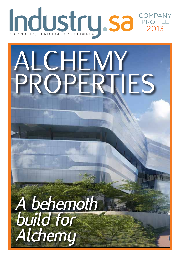## YOUR INDUSTRY, THEIR FUTURE, OUR SOUTH AFRICA COMPANY PROFILE 2013

# Alchemy PERTIES

# *A behemoth build for Alchemy*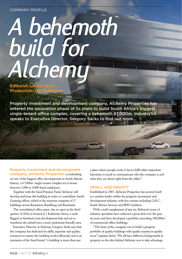# *A behemoth build for Alchemy*

**Editorial: Lau Production:** 

Property investment and development company, Alchemy Properties has entered the excavation phase of its plans to build South Africa's biggest single-tenant office complex, covering a behemoth 67,000m. IndustrySA speaks to Executive Director, Gregory Sacks to find out more…

Property investment and development company, Alchemy Properties is embarking on one of the biggest office developments in South African history; a 67,000m<sup>2</sup> single-tenant complex set to house between 3,000 to 4,000 Sasol employees.

Together with the Sasol Pension Fund, Alchemy will develop and lease the building in order to consolidate Sasol's Gauteng offices, which at the moment comprise of 17 buildings across Bryanston, Randburg and Rosebank.

The consolidated office space, due to open in the third quarter of 2016, is located at 2 Katherine Street, a node flagged as Sandton's next development hub and set to transform the suburb into a more pedestrian friendly area.

Executive Director at Alchemy, Gregory Sacks says that the company has dedicated its skills, expertise and quality resources to ensure the building works efficiently and is an extension of the Sasol brand, "a building is more than just

a place where people work, it has to fulfil other important functions; it needs to communicate who the company is and what they are about right from the offset."

#### SMALL and MIGHTY

Established in 2007, Alchemy Properties has secured itself as a market leader within the property investment and development industry; with key tenants including Cell C, South African Airways and BDO Auditors.

With a staff complement of just six, Alchemy's team of industry specialists have achieved a great deal over the past six years and have developed a portfolio exceeding 100,000m2 of commercial office buildings.

"The basis of the company was to build a property portfolio of quality buildings with quality tenants in quality areas" explains Sacks, "We all have different backgrounds in property so the idea behind Alchemy was to take advantage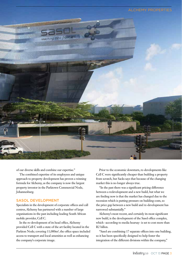

of our diverse skills and combine our expertise."

The combined expertise of its employees and unique approach to property development has proven a winning formula for Alchemy, as the company is now the largest property investor in the Parktown Commercial Node, Johannesburg.

#### SASOL DEVELOPMENT

Specialists in the development of corporate offices and call centres, Alchemy has partnered with a number of large organisations in the past including leading South African mobile provider, Cell C.

In the re-development of its head office, Alchemy provided Cell C with a state of the art facility located in the Parkton Node; covering 11,000m², the office space included access to transport and local amenities as well as enhancing the company's corporate image.

Prior to the economic downturn, re-developments like Cell C were significantly cheaper than building a property from scratch, but Sacks says that because of the changing market this is no longer always true.

"In the past there was a significant pricing difference between a redevelopment and a new build, but what we are finding now is that the market has changed due to the recession which is putting pressure on building costs, so the price gap between a new build and re-development has narrowed substantially."

Alchemy's most recent, and certainly its most significant new build, is the development of the Sasol office complex, which –according to media hearsay- is set to cost more than R2 billon.

"Sasol are combining 17 separate offices into one building, so it has been specifically designed to help foster the integration of the different divisions within the company,"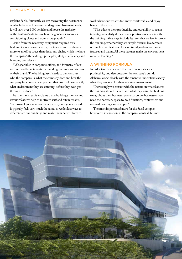#### CompANY PROFILE

explains Sacks, "currently we are excavating the basements, of which there will be seven underground basement levels; it will park over 3000 vehicles and house the majority of the building's utilities such as the generator room, air conditioning plants and water storage tanks."

Aside from the necessary equipment required for a building to function efficiently, Sacks explains that there is more to an office space than desks and chairs, which is where the company's three design principles, lifestyle, efficiency and branding are relevant.

"We specialise in corporate offices, and for many of our medium and large tenants the building becomes an extension of their brand. The building itself needs to demonstrate who the company is, what the company does and how the company functions; it is important that visitors know exactly what environment they are entering, before they even get through the door."

Furthermore, Sacks explains that a building's interior and exterior features help to motivate staff and retain tenants, "In terms of your common office space, once you are inside it typically feels very much the same, so we look at ways to differentiate our buildings and make them better places to

work where our tenants feel more comfortable and enjoy being in the space.

"This adds to their productivity and our ability to retain tenants, particularly if they have a positive association with the building. We always include features that we feel improve the building, whether they are simple features like terraces or much larger features like sculptured gardens with water features and plants. All these features make the environment more welcoming."

#### A WINNING FORMULA

In order to create a space that both encourages staff productivity and demonstrates the company's brand, Alchemy works closely with the tenant to understand exactly what they envision for their working environment.

"Increasingly we consult with the tenant on what features the building should include and what they want the building to say about their business. Some corporate businesses may need the necessary space to hold functions, conferences and internal meetings for example."

The most important feature for the Sasol complex however is integration, as the company wants all business

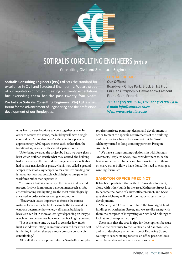

# **SOTIRALIS CONSULTING ENGINEERS (PTY) LTD**

**Consulting Civil and Structural Engineers** 

**Sotiralis Consulting Engineers (Pty) Ltd** sets the standard for excellence in Civil and Structural Engineering. We are proud of our reputation of not just meeting our clients' expectations but exceeding them for the past twenty four years.

We believe Sotiralis Consulting Engineers (Pty) Ltd is a new forum for the advancement of Engineering and the professional development of our Employees.

#### **Our Offices:**

Boardwalk Office Park, Block B, 1st Floor Cnr Hans Strijdom & Haymeadow Crescent Faerie Glen, Pretoria

Tel: +27 (12) 991 0516, Fax: +27 (12) 991 0436 E-mail: info@sotiralis.co.za **Web: www.sotiralis.co.za** 

units from diverse locations to come together as one. In order to achieve this vision, the building will have a single core and be a 'ground-scraper' with large floor plates of approximately 6,500 square metres each, rather than the traditional sky-scraper with several separate floors.

"After being awarded the project by Sasol, we were given a brief which outlined exactly what they wanted; the building had to be energy efficient and encourage integration. It also had to have massive floor plates, what is now called a ground scraper instead of a sky scraper, so it's a massive building but it has as few floors as possible which helps to integrate the workforce rather than separate it.

"Ensuring a building is energy efficient is a multi-tiered process, firstly it is important that equipment such as lifts, air-conditioning and lighting are the most technologically advanced in order to lower energy consumption.

"However, it is also important to choose the correct material for a specific build, for example the glass used for windows determines how energy efficient a building is because it can let in more or less light depending on its type, which in turn determines how much artificial light you need.

"But at the same time we need to consider how much light a window is letting in, in comparison to how much heat it is letting in, which then puts more pressure on your air conditioning."

All in all, the size of a project like the Sasol office complex

requires intricate planning, design and development in order to meet the specific requirements of the building, and in order to achieve the vision set out by Sasol, Alchemy turned to long-standing partners Paragon Architects.

"We have a long standing relationship with Paragon Architects," explains Sacks, "we consider them to be the best commercial architects and have worked with them on every other build we have done. No need to change a winning formula!"

#### SANDTON OFFICE PRECINCT

It has been predicted that with the Sasol development, along with other builds in the area, Katherine Street is set to become the home of a new office precinct, and Sacks says that Alchemy will be all too happy to assist in its development.

"Alchemy and Growthpoint have the two largest land holdings on Katherine Street, and we are discussing with them the prospect of integrating our two land holdings to look at an office-precinct type."

Sacks says that the area is ripe for development because of its close proximity to the Gautrain and Sandton City, and with developers on either side of Katherine Street waiting to secure strong tenants, an office precinct looks set to be established in the area very soon. .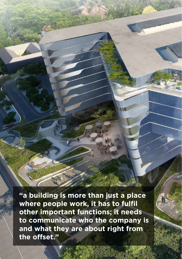**"a building is more than just a place where people work, it has to fulfil other important functions; it needs to communicate who the company is and what they are about right from the offset."**

PAGE 6 OCT 13

Company Profile Profile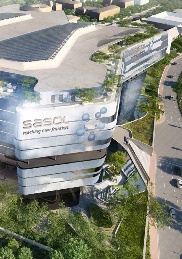